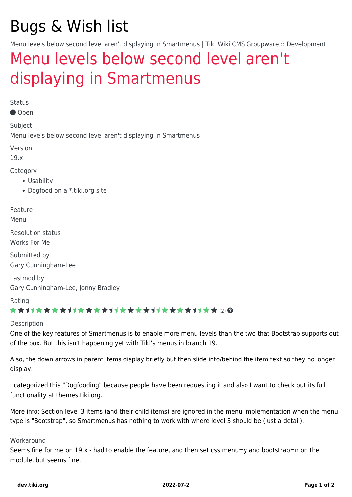# Bugs & Wish list

Menu levels below second level aren't displaying in Smartmenus | Tiki Wiki CMS Groupware :: Development

## [Menu levels below second level aren't](https://dev.tiki.org/item6849-Menu-levels-below-second-level-aren-t-displaying-in-Smartmenus) [displaying in Smartmenus](https://dev.tiki.org/item6849-Menu-levels-below-second-level-aren-t-displaying-in-Smartmenus)

Status

Open

Subject

Menu levels below second level aren't displaying in Smartmenus

Version

19.x

Category

- Usability
- Dogfood on a \*.tiki.org site

Feature

Menu

Resolution status Works For Me

Submitted by Gary Cunningham-Lee

Lastmod by Gary Cunningham-Lee, Jonny Bradley

Rating

#### ★★オオ★★★★オオ★★★★オオ★★★★オオ★★★★1オ★★ ⑵ Q

#### Description

One of the key features of Smartmenus is to enable more menu levels than the two that Bootstrap supports out of the box. But this isn't happening yet with Tiki's menus in branch 19.

Also, the down arrows in parent items display briefly but then slide into/behind the item text so they no longer display.

I categorized this "Dogfooding" because people have been requesting it and also I want to check out its full functionality at themes.tiki.org.

More info: Section level 3 items (and their child items) are ignored in the menu implementation when the menu type is "Bootstrap", so Smartmenus has nothing to work with where level 3 should be (just a detail).

#### Workaround

Seems fine for me on 19.x - had to enable the feature, and then set css menu=y and bootstrap=n on the module, but seems fine.